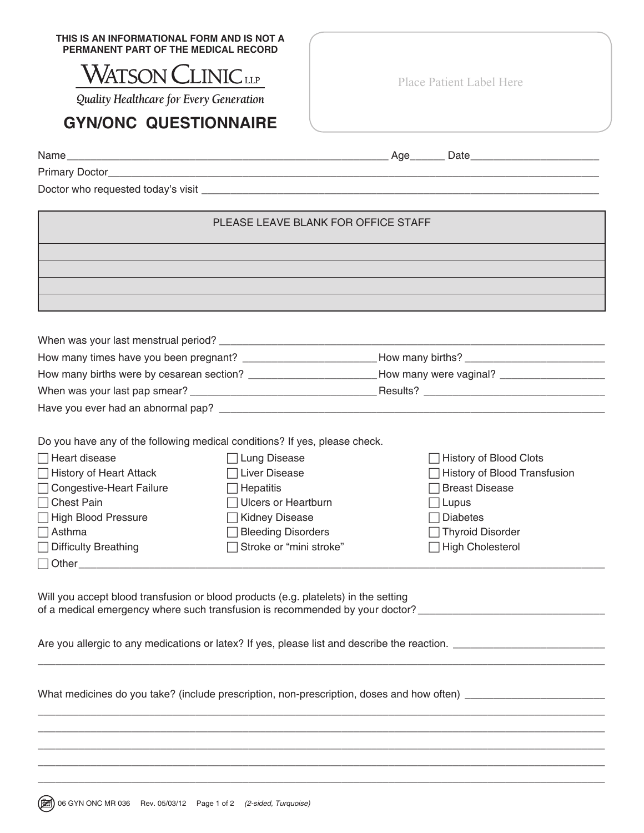| THIS IS AN INFORMATIONAL FORM AND IS NOT A |
|--------------------------------------------|
| PERMANENT PART OF THE MEDICAL RECORD       |

## **WATSON CLINICLE**

Quality Healthcare for Every Generation

## **GYN/ONC QUESTIONNAIRE**

Primary Doctor\_\_\_\_\_\_\_\_\_\_\_\_\_\_\_\_\_\_\_\_\_\_\_\_\_\_\_\_\_\_\_\_\_\_\_\_\_\_\_\_\_\_\_\_\_\_\_\_\_\_\_\_\_\_\_\_\_\_\_\_\_\_\_\_\_\_\_\_\_\_\_\_\_\_\_\_\_\_\_\_\_\_\_\_

Doctor who requested today's visit \_\_\_\_\_\_\_\_\_\_\_\_\_\_\_\_\_\_\_\_\_\_\_\_\_\_\_\_\_\_\_\_\_\_\_\_\_\_\_\_\_\_\_\_\_\_\_\_\_\_\_\_\_\_\_\_\_\_\_\_\_\_\_\_\_\_\_\_

## PLEASE LEAVE BLANK FOR OFFICE STAFF

| When was your last menstrual period?      |                        |  |
|-------------------------------------------|------------------------|--|
| How many times have you been pregnant?    | How many births?       |  |
| How many births were by cesarean section? | How many were vaginal? |  |
| When was your last pap smear?             | Results?               |  |
| Have you ever had an abnormal pap?        |                        |  |

Do you have any of the following medical conditions? If yes, please check.

| $\Box$ Heart disease        | □ Lung Disease            | $\Box$ History of Blood Clots |
|-----------------------------|---------------------------|-------------------------------|
| □ History of Heart Attack   | ⊤Liver Disease            | History of Blood Transfusion  |
| □ Congestive-Heart Failure  | $\exists$ Hepatitis       | □ Breast Disease              |
| $\Box$ Chest Pain           | Ulcers or Heartburn       | $\Box$ Lupus                  |
| □ High Blood Pressure       | Kidney Disease            | $\Box$ Diabetes               |
| $\Box$ Asthma               | <b>Bleeding Disorders</b> | □ Thyroid Disorder            |
| $\Box$ Difficulty Breathing | Stroke or "mini stroke"   | □ High Cholesterol            |
| $\Box$ Other                |                           |                               |

Will you accept blood transfusion or blood products (e.g. platelets) in the setting of a medical emergency where such transfusion is recommended by your doctor? \_\_\_\_\_\_\_\_\_\_\_\_\_\_\_\_\_\_\_\_\_\_\_\_\_\_\_\_\_\_\_\_\_

 $\Box$ 

 $\Box$  $\Box$  $\Box$  $\Box$ 

Are you allergic to any medications or latex? If yes, please list and describe the reaction.

What medicines do you take? (include prescription, non-prescription, doses and how often) \_\_\_\_\_\_\_\_\_\_\_\_\_\_\_\_\_\_\_\_

 $\Box$ 

Place Patient Label Here

Name\_\_\_\_\_\_\_\_\_\_\_\_\_\_\_\_\_\_\_\_\_\_\_\_\_\_\_\_\_\_\_\_\_\_\_\_\_\_\_\_\_\_\_\_\_\_\_\_\_\_\_\_\_\_\_ Age\_\_\_\_\_\_ Date\_\_\_\_\_\_\_\_\_\_\_\_\_\_\_\_\_\_\_\_\_\_